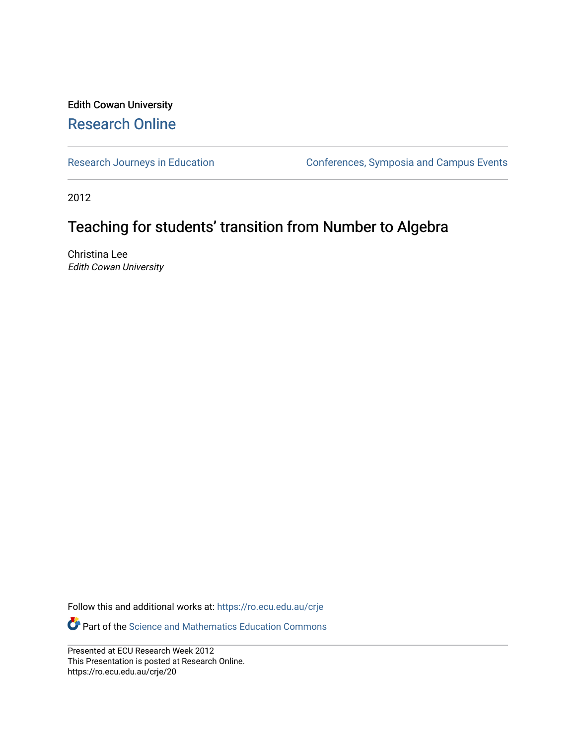#### Edith Cowan University [Research Online](https://ro.ecu.edu.au/)

[Research Journeys in Education](https://ro.ecu.edu.au/crje) **Conferences**, Symposia and Campus Events

2012

#### Teaching for students' transition from Number to Algebra

Christina Lee Edith Cowan University

Follow this and additional works at: [https://ro.ecu.edu.au/crje](https://ro.ecu.edu.au/crje?utm_source=ro.ecu.edu.au%2Fcrje%2F20&utm_medium=PDF&utm_campaign=PDFCoverPages) 

**P** Part of the Science and Mathematics Education Commons

Presented at ECU Research Week 2012 This Presentation is posted at Research Online. https://ro.ecu.edu.au/crje/20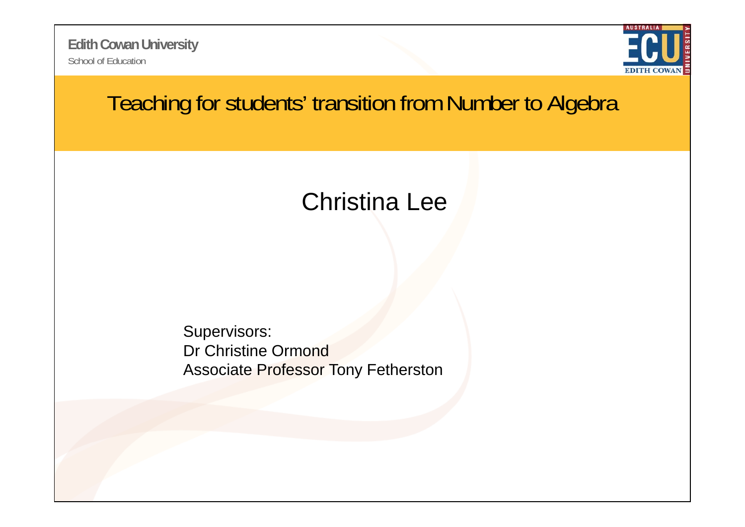School of Education**Edith Cowan University**



#### Teaching for students' transition from Number to Algebra

### Christina Lee

Supervisors: Dr Christine Ormond Associate Professor Tony Fetherston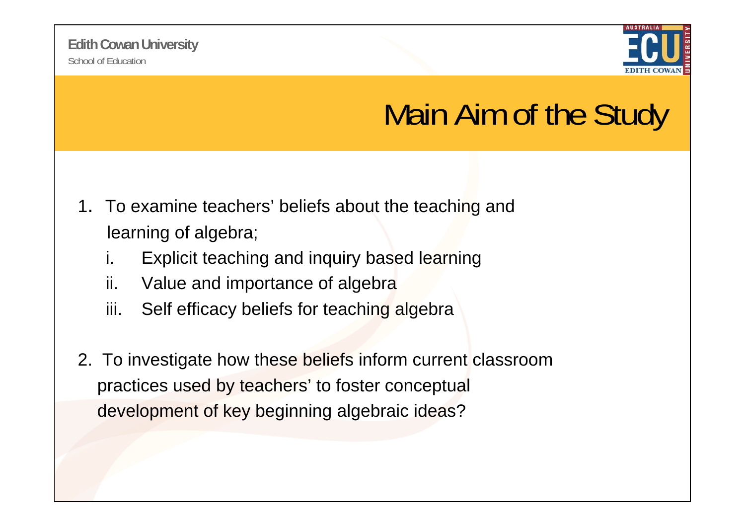

## Main Aim of the Study

- 1. To examine teachers' beliefs about the teaching and learning of algebra;
	- i.Explicit teaching and inquiry based learning
	- ii. Value and importance of algebra
	- iii. Self efficacy beliefs for teaching algebra
- 2. To investigate how these beliefs inform current classroom practices used by teachers' to foster conceptual development of key beginning algebraic ideas?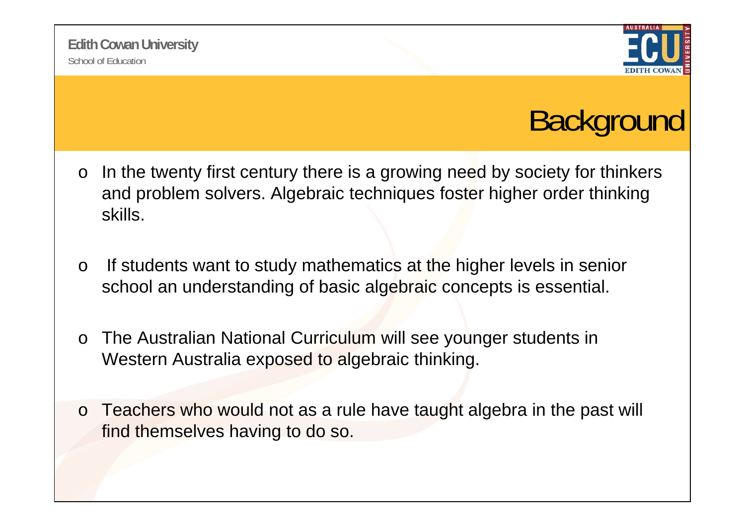

# **Background**

- oIn the twenty first century there is a growing need by society for thinkers and problem solvers. Algebraic techniques foster higher order thinking skills.
- oIf students want to study mathematics at the higher levels in senior school an understanding of basic algebraic concepts is essential.
- o The Australian National Curriculum will see younger students in Western Australia exposed to algebraic thinking.
- o Teachers who would not as a rule have taught algebra in the past will find themselves having to do so.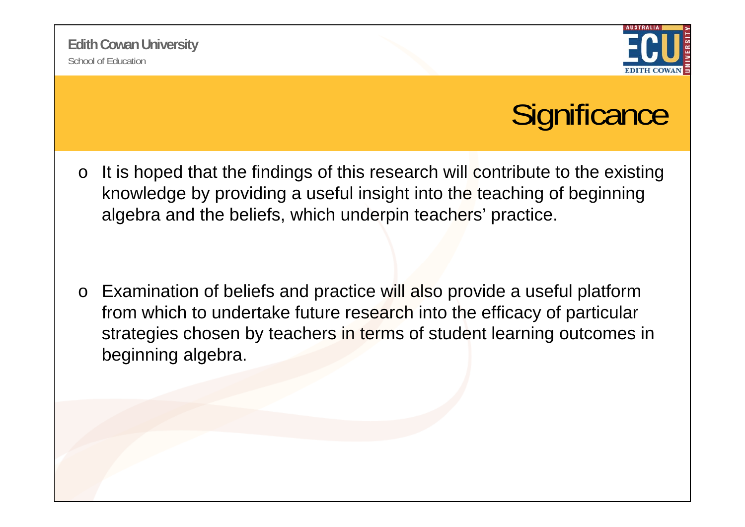

## **Significance**

o It is hoped that the findings of this research will contribute to the existing knowledge by providing a useful insight into the teaching of beginning algebra and the beliefs, which underpin teachers' practice.

o Examination of beliefs and practice will also provide a useful platform from which to undertake future research into the efficacy of particular strategies chosen by teachers in terms of student learning outcomes in beginning algebra.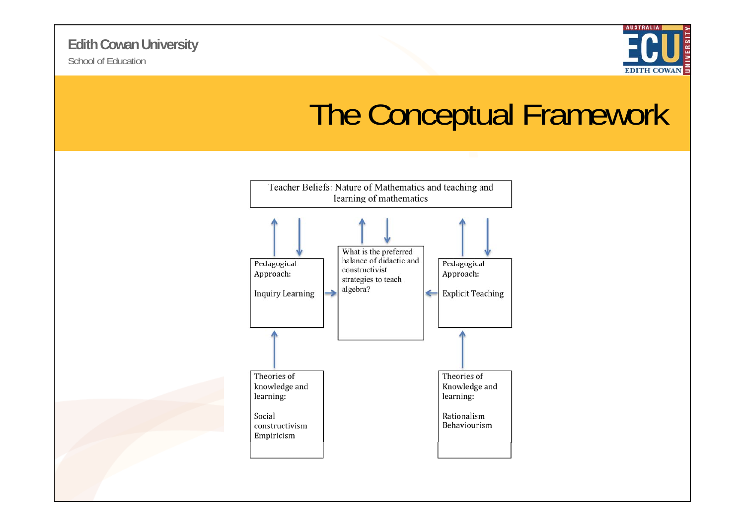

### The Conceptual Framework

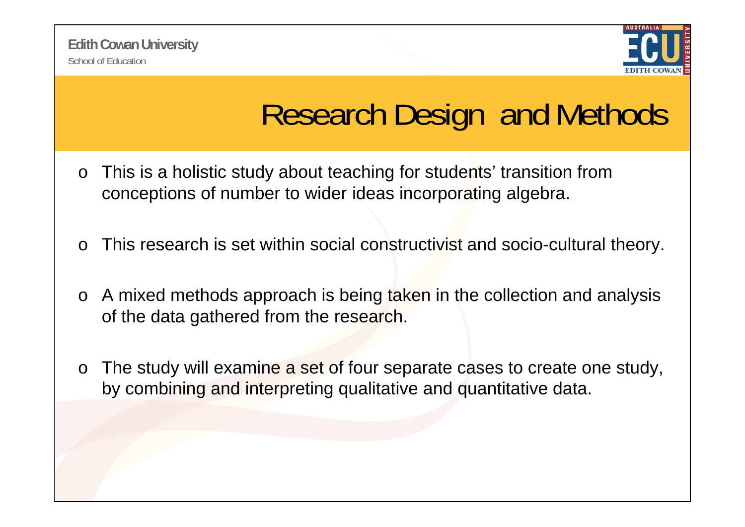

# Research Design and Methods

- o This is a holistic study about teaching for students' transition from conceptions of number to wider ideas incorporating algebra.
- oThis research is set within social constructivist and socio-cultural theory.
- o A mixed methods approach is being taken in the collection and analysis of the data gathered from the research.
- o The study will examine a set of four separate cases to create one study, by combining and interpreting qualitative and quantitative data.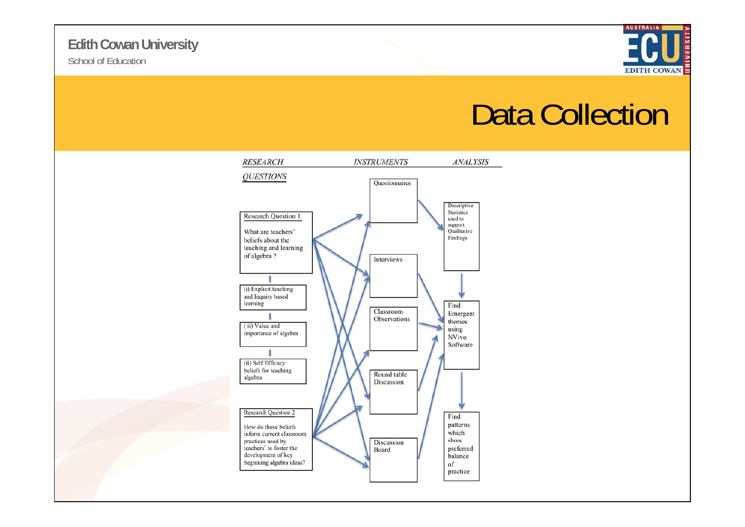#### School of Education**Edith Cowan University**



### Data Collection